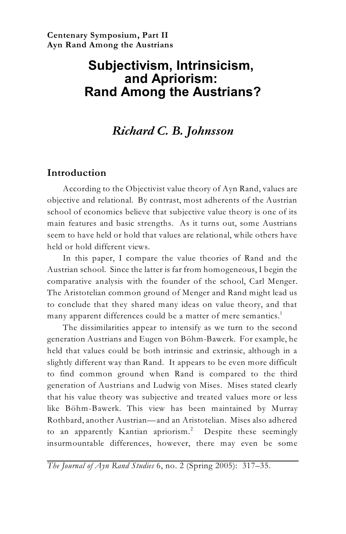# **Subjectivism, Intrinsicism, and Apriorism: Rand Among the Austrians?**

## *Richard C. B. Johnsson*

## **Introduction**

According to the Objectivist value theory of Ayn Rand, values are objective and relational. By contrast, most adherents of the Austrian school of economics believe that subjective value theory is one of its main features and basic strengths. As it turns out, some Austrians seem to have held or hold that values are relational, while others have held or hold different views.

In this paper, I compare the value theories of Rand and the Austrian school. Since the latter is far from homogeneous, I begin the comparative analysis with the founder of the school, Carl Menger. The Aristotelian common ground of Menger and Rand might lead us to conclude that they shared many ideas on value theory, and that many apparent differences could be a matter of mere semantics. 1

The dissimilarities appear to intensify as we turn to the second generation Austrians and Eugen von Böhm-Bawerk. For example, he held that values could be both intrinsic and extrinsic, although in a slightly different way than Rand. It appears to be even more difficult to find common ground when Rand is compared to the third generation of Austrians and Ludwig von Mises. Mises stated clearly that his value theory was subjective and treated values more or less like Böhm-Bawerk. This view has been maintained by Murray Rothbard, another Austrian—and an Aristotelian. Mises also adhered to an apparently Kantian apriorism.<sup>2</sup> Despite these seemingly insurmountable differences, however, there may even be some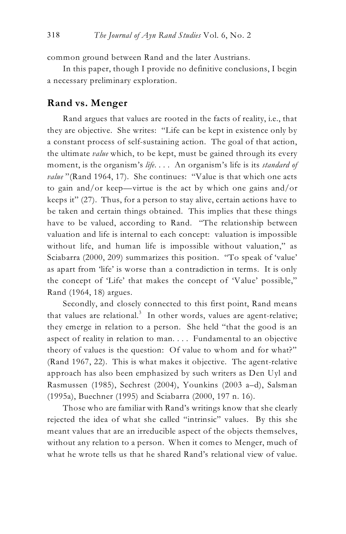common ground between Rand and the later Austrians.

In this paper, though I provide no definitive conclusions, I begin a necessary preliminary exploration.

### **Rand vs. Menger**

Rand argues that values are rooted in the facts of reality, i.e., that they are objective. She writes: "Life can be kept in existence only by a constant process of self-sustaining action. The goal of that action, the ultimate *value* which, to be kept, must be gained through its every moment, is the organism's *life*. . . . An organism's life is its *standard of value* "(Rand 1964, 17). She continues: "Value is that which one acts to gain and/or keep—virtue is the act by which one gains and/or keeps it" (27). Thus, for a person to stay alive, certain actions have to be taken and certain things obtained. This implies that these things have to be valued, according to Rand. "The relationship between valuation and life is internal to each concept: valuation is impossible without life, and human life is impossible without valuation," as Sciabarra (2000, 209) summarizes this position. "To speak of 'value' as apart from 'life' is worse than a contradiction in terms. It is only the concept of 'Life' that makes the concept of 'Value' possible," Rand (1964, 18) argues.

Secondly, and closely connected to this first point, Rand means that values are relational.<sup>3</sup> In other words, values are agent-relative; they emerge in relation to a person. She held "that the good is an aspect of reality in relation to man. . . . Fundamental to an objective theory of values is the question: Of value to whom and for what?" (Rand 1967, 22). This is what makes it objective. The agent-relative approach has also been emphasized by such writers as Den Uyl and Rasmussen (1985), Sechrest (2004), Younkins (2003 a–d), Salsman (1995a), Buechner (1995) and Sciabarra (2000, 197 n. 16).

Those who are familiar with Rand's writings know that she clearly rejected the idea of what she called "intrinsic" values. By this she meant values that are an irreducible aspect of the objects themselves, without any relation to a person. When it comes to Menger, much of what he wrote tells us that he shared Rand's relational view of value.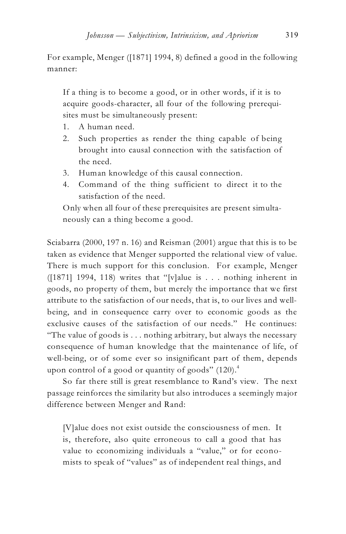For example, Menger ([1871] 1994, 8) defined a good in the following manner:

If a thing is to become a good, or in other words, if it is to acquire goods-character, all four of the following prerequisites must be simultaneously present:

- 1. A human need.
- 2. Such properties as render the thing capable of being brought into causal connection with the satisfaction of the need.
- 3. Human knowledge of this causal connection.
- 4. Command of the thing sufficient to direct it to the satisfaction of the need.

Only when all four of these prerequisites are present simultaneously can a thing become a good.

Sciabarra (2000, 197 n. 16) and Reisman (2001) argue that this is to be taken as evidence that Menger supported the relational view of value. There is much support for this conclusion. For example, Menger ([1871] 1994, 118) writes that "[v]alue is . . . nothing inherent in goods, no property of them, but merely the importance that we first attribute to the satisfaction of our needs, that is, to our lives and wellbeing, and in consequence carry over to economic goods as the exclusive causes of the satisfaction of our needs." He continues: "The value of goods is . . . nothing arbitrary, but always the necessary consequence of human knowledge that the maintenance of life, of well-being, or of some ever so insignificant part of them, depends upon control of a good or quantity of goods"  $(120).<sup>4</sup>$ 

So far there still is great resemblance to Rand's view. The next passage reinforces the similarity but also introduces a seemingly major difference between Menger and Rand:

[V]alue does not exist outside the consciousness of men. It is, therefore, also quite erroneous to call a good that has value to economizing individuals a "value," or for economists to speak of "values" as of independent real things, and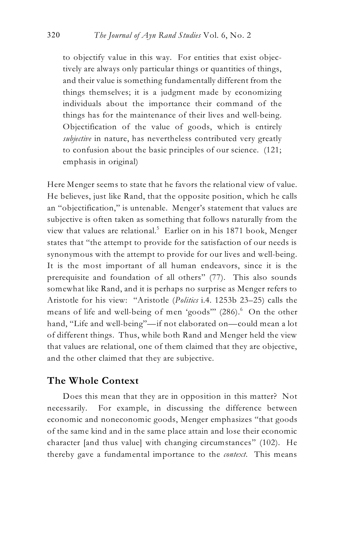to objectify value in this way. For entities that exist objectively are always only particular things or quantities of things, and their value is something fundamentally different from the things themselves; it is a judgment made by economizing individuals about the importance their command of the things has for the maintenance of their lives and well-being. Objectification of the value of goods, which is entirely *subjective* in nature, has nevertheless contributed very greatly to confusion about the basic principles of our science. (121; emphasis in original)

Here Menger seems to state that he favors the relational view of value. He believes, just like Rand, that the opposite position, which he calls an "objectification," is untenable. Menger's statement that values are subjective is often taken as something that follows naturally from the view that values are relational.<sup>5</sup> Earlier on in his 1871 book, Menger states that "the attempt to provide for the satisfaction of our needs is synonymous with the attempt to provide for our lives and well-being. It is the most important of all human endeavors, since it is the prerequisite and foundation of all others" (77). This also sounds somewhat like Rand, and it is perhaps no surprise as Menger refers to Aristotle for his view: "Aristotle (*Politics* i.4. 1253b 23–25) calls the means of life and well-being of men 'goods" (286).<sup>6</sup> On the other hand, "Life and well-being"—if not elaborated on—could mean a lot of different things. Thus, while both Rand and Menger held the view that values are relational, one of them claimed that they are objective, and the other claimed that they are subjective.

## **The Whole Context**

Does this mean that they are in opposition in this matter? Not necessarily. For example, in discussing the difference between economic and noneconomic goods, Menger emphasizes "that goods of the same kind and in the same place attain and lose their economic character [and thus value] with changing circumstances" (102). He thereby gave a fundamental importance to the *context*. This means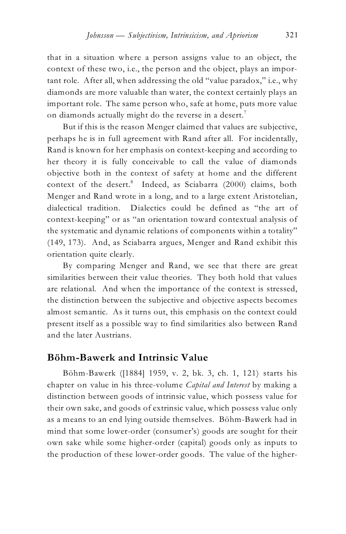that in a situation where a person assigns value to an object, the context of these two, i.e., the person and the object, plays an important role. After all, when addressing the old "value paradox," i.e., why diamonds are more valuable than water, the context certainly plays an important role. The same person who, safe at home, puts more value on diamonds actually might do the reverse in a desert.<sup>7</sup>

But if this is the reason Menger claimed that values are subjective, perhaps he is in full agreement with Rand after all. For incidentally, Rand is known for her emphasis on context-keeping and according to her theory it is fully conceivable to call the value of diamonds objective both in the context of safety at home and the different context of the desert.<sup>8</sup> Indeed, as Sciabarra (2000) claims, both Menger and Rand wrote in a long, and to a large extent Aristotelian, dialectical tradition. Dialectics could be defined as "the art of context-keeping" or as "an orientation toward contextual analysis of the systematic and dynamic relations of components within a totality" (149, 173). And, as Sciabarra argues, Menger and Rand exhibit this orientation quite clearly.

By comparing Menger and Rand, we see that there are great similarities between their value theories. They both hold that values are relational. And when the importance of the context is stressed, the distinction between the subjective and objective aspects becomes almost semantic. As it turns out, this emphasis on the context could present itself as a possible way to find similarities also between Rand and the later Austrians.

### **Böhm-Bawerk and Intrinsic Value**

Böhm-Bawerk ([1884] 1959, v. 2, bk. 3, ch. 1, 121) starts his chapter on value in his three-volume *Capital and Interest* by making a distinction between goods of intrinsic value, which possess value for their own sake, and goods of extrinsic value, which possess value only as a means to an end lying outside themselves. Böhm-Bawerk had in mind that some lower-order (consumer's) goods are sought for their own sake while some higher-order (capital) goods only as inputs to the production of these lower-order goods. The value of the higher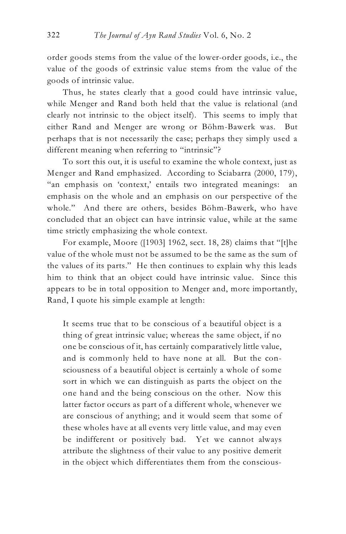order goods stems from the value of the lower-order goods, i.e., the value of the goods of extrinsic value stems from the value of the goods of intrinsic value.

Thus, he states clearly that a good could have intrinsic value, while Menger and Rand both held that the value is relational (and clearly not intrinsic to the object itself). This seems to imply that either Rand and Menger are wrong or Böhm-Bawerk was. But perhaps that is not necessarily the case; perhaps they simply used a different meaning when referring to "intrinsic"?

To sort this out, it is useful to examine the whole context, just as Menger and Rand emphasized. According to Sciabarra (2000, 179), "an emphasis on 'context,' entails two integrated meanings: an emphasis on the whole and an emphasis on our perspective of the whole." And there are others, besides Böhm-Bawerk, who have concluded that an object can have intrinsic value, while at the same time strictly emphasizing the whole context.

For example, Moore ([1903] 1962, sect. 18, 28) claims that "[t]he value of the whole must not be assumed to be the same as the sum of the values of its parts." He then continues to explain why this leads him to think that an object could have intrinsic value. Since this appears to be in total opposition to Menger and, more importantly, Rand, I quote his simple example at length:

It seems true that to be conscious of a beautiful object is a thing of great intrinsic value; whereas the same object, if no one be conscious of it, has certainly comparatively little value, and is commonly held to have none at all. But the consciousness of a beautiful object is certainly a whole of some sort in which we can distinguish as parts the object on the one hand and the being conscious on the other. Now this latter factor occurs as part of a different whole, whenever we are conscious of anything; and it would seem that some of these wholes have at all events very little value, and may even be indifferent or positively bad. Yet we cannot always attribute the slightness of their value to any positive demerit in the object which differentiates them from the conscious-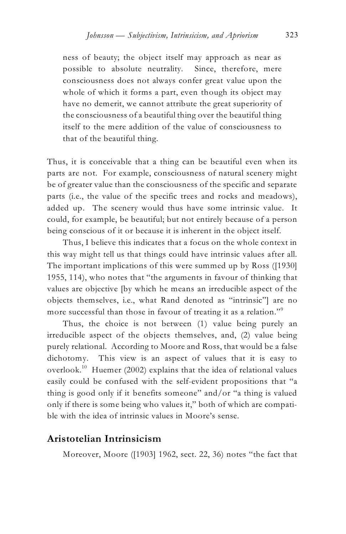ness of beauty; the object itself may approach as near as possible to absolute neutrality. Since, therefore, mere consciousness does not always confer great value upon the whole of which it forms a part, even though its object may have no demerit, we cannot attribute the great superiority of the consciousness of a beautiful thing over the beautiful thing itself to the mere addition of the value of consciousness to that of the beautiful thing.

Thus, it is conceivable that a thing can be beautiful even when its parts are not. For example, consciousness of natural scenery might be of greater value than the consciousness of the specific and separate parts (i.e., the value of the specific trees and rocks and meadows), added up. The scenery would thus have some intrinsic value. It could, for example, be beautiful; but not entirely because of a person being conscious of it or because it is inherent in the object itself.

Thus, I believe this indicates that a focus on the whole context in this way might tell us that things could have intrinsic values after all. The important implications of this were summed up by Ross ([1930] 1955, 114), who notes that "the arguments in favour of thinking that values are objective [by which he means an irreducible aspect of the objects themselves, i.e., what Rand denoted as "intrinsic"] are no more successful than those in favour of treating it as a relation."<sup>9</sup>

Thus, the choice is not between (1) value being purely an irreducible aspect of the objects themselves, and, (2) value being purely relational. According to Moore and Ross, that would be a false dichotomy. This view is an aspect of values that it is easy to overlook. $^{10}$  Huemer (2002) explains that the idea of relational values easily could be confused with the self-evident propositions that "a thing is good only if it benefits someone" and/or "a thing is valued only if there is some being who values it," both of which are compatible with the idea of intrinsic values in Moore's sense.

#### **Aristotelian Intrinsicism**

Moreover, Moore ([1903] 1962, sect. 22, 36) notes "the fact that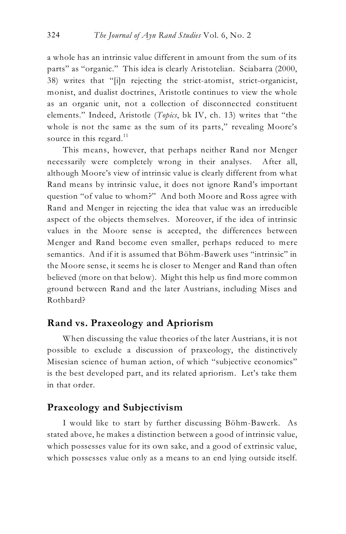a whole has an intrinsic value different in amount from the sum of its parts" as "organic." This idea is clearly Aristotelian. Sciabarra (2000, 38) writes that "[i]n rejecting the strict-atomist, strict-organicist, monist, and dualist doctrines, Aristotle continues to view the whole as an organic unit, not a collection of disconnected constituent elements." Indeed, Aristotle (*Topics*, bk IV, ch. 13) writes that "the whole is not the same as the sum of its parts," revealing Moore's source in this regard. $11$ 

This means, however, that perhaps neither Rand nor Menger necessarily were completely wrong in their analyses. After all, although Moore's view of intrinsic value is clearly different from what Rand means by intrinsic value, it does not ignore Rand's important question "of value to whom?" And both Moore and Ross agree with Rand and Menger in rejecting the idea that value was an irreducible aspect of the objects themselves. Moreover, if the idea of intrinsic values in the Moore sense is accepted, the differences between Menger and Rand become even smaller, perhaps reduced to mere semantics. And if it is assumed that Böhm-Bawerk uses "intrinsic" in the Moore sense, it seems he is closer to Menger and Rand than often believed (more on that below). Might this help us find more common ground between Rand and the later Austrians, including Mises and Rothbard?

## **Rand vs. Praxeology and Apriorism**

When discussing the value theories of the later Austrians, it is not possible to exclude a discussion of praxeology, the distinctively Misesian science of human action, of which "subjective economics" is the best developed part, and its related apriorism. Let's take them in that order.

#### **Praxeology and Subjectivism**

I would like to start by further discussing Böhm-Bawerk. As stated above, he makes a distinction between a good of intrinsic value, which possesses value for its own sake, and a good of extrinsic value, which possesses value only as a means to an end lying outside itself.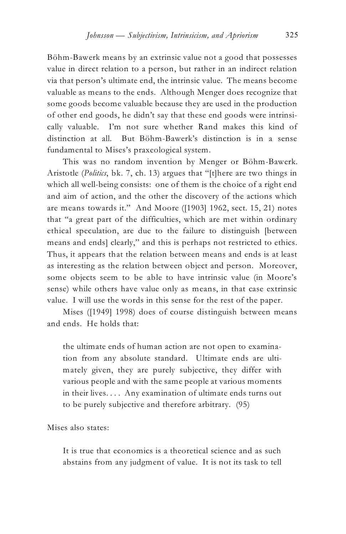Böhm-Bawerk means by an extrinsic value not a good that possesses value in direct relation to a person, but rather in an indirect relation via that person's ultimate end, the intrinsic value. The means become valuable as means to the ends. Although Menger does recognize that some goods become valuable because they are used in the production of other end goods, he didn't say that these end goods were intrinsically valuable. I'm not sure whether Rand makes this kind of distinction at all. But Böhm-Bawerk's distinction is in a sense fundamental to Mises's praxeological system.

This was no random invention by Menger or Böhm-Bawerk. Aristotle (*Politics*, bk. 7, ch. 13) argues that "[t]here are two things in which all well-being consists: one of them is the choice of a right end and aim of action, and the other the discovery of the actions which are means towards it." And Moore ([1903] 1962, sect. 15, 21) notes that "a great part of the difficulties, which are met within ordinary ethical speculation, are due to the failure to distinguish [between means and ends] clearly," and this is perhaps not restricted to ethics. Thus, it appears that the relation between means and ends is at least as interesting as the relation between object and person. Moreover, some objects seem to be able to have intrinsic value (in Moore's sense) while others have value only as means, in that case extrinsic value. I will use the words in this sense for the rest of the paper.

Mises ([1949] 1998) does of course distinguish between means and ends. He holds that:

the ultimate ends of human action are not open to examination from any absolute standard. Ultimate ends are ultimately given, they are purely subjective, they differ with various people and with the same people at various moments in their lives. . . . Any examination of ultimate ends turns out to be purely subjective and therefore arbitrary. (95)

Mises also states:

It is true that economics is a theoretical science and as such abstains from any judgment of value. It is not its task to tell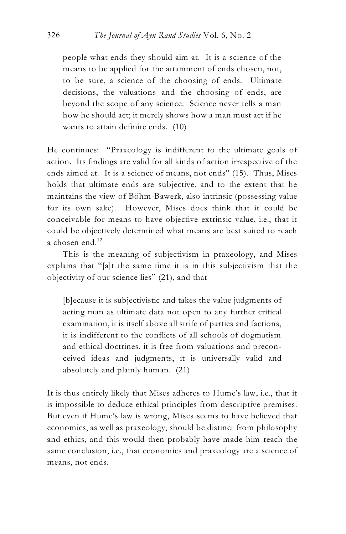people what ends they should aim at. It is a science of the means to be applied for the attainment of ends chosen, not, to be sure, a science of the choosing of ends. Ultimate decisions, the valuations and the choosing of ends, are beyond the scope of any science. Science never tells a man how he should act; it merely shows how a man must act if he wants to attain definite ends. (10)

He continues: "Praxeology is indifferent to the ultimate goals of action. Its findings are valid for all kinds of action irrespective of the ends aimed at. It is a science of means, not ends" (15). Thus, Mises holds that ultimate ends are subjective, and to the extent that he maintains the view of Böhm-Bawerk, also intrinsic (possessing value for its own sake). However, Mises does think that it could be conceivable for means to have objective extrinsic value, i.e., that it could be objectively determined what means are best suited to reach a chosen end. $12$ 

This is the meaning of subjectivism in praxeology, and Mises explains that "[a]t the same time it is in this subjectivism that the objectivity of our science lies" (21), and that

[b]ecause it is subjectivistic and takes the value judgments of acting man as ultimate data not open to any further critical examination, it is itself above all strife of parties and factions, it is indifferent to the conflicts of all schools of dogmatism and ethical doctrines, it is free from valuations and preconceived ideas and judgments, it is universally valid and absolutely and plainly human. (21)

It is thus entirely likely that Mises adheres to Hume's law, i.e., that it is impossible to deduce ethical principles from descriptive premises. But even if Hume's law is wrong, Mises seems to have believed that economics, as well as praxeology, should be distinct from philosophy and ethics, and this would then probably have made him reach the same conclusion, i.e., that economics and praxeology are a science of means, not ends.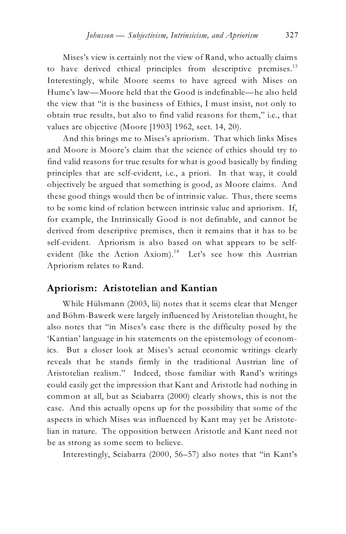Mises's view is certainly not the view of Rand, who actually claims to have derived ethical principles from descriptive premises.<sup>13</sup> Interestingly, while Moore seems to have agreed with Mises on Hume's law—Moore held that the Good is indefinable—he also held the view that "it is the business of Ethics, I must insist, not only to obtain true results, but also to find valid reasons for them," i.e., that values are objective (Moore [1903] 1962, sect. 14, 20).

And this brings me to Mises's apriorism. That which links Mises and Moore is Moore's claim that the science of ethics should try to find valid reasons for true results for what is good basically by finding principles that are self-evident, i.e., a priori. In that way, it could objectively be argued that something is good, as Moore claims. And these good things would then be of intrinsic value. Thus, there seems to be some kind of relation between intrinsic value and apriorism. If, for example, the Intrinsically Good is not definable, and cannot be derived from descriptive premises, then it remains that it has to be self-evident. Apriorism is also based on what appears to be selfevident (like the Action Axiom).<sup>14</sup> Let's see how this Austrian Apriorism relates to Rand.

### **Apriorism: Aristotelian and Kantian**

While Hülsmann (2003, lii) notes that it seems clear that Menger and Böhm-Bawerk were largely influenced by Aristotelian thought, he also notes that "in Mises's case there is the difficulty posed by the 'Kantian' language in his statements on the epistemology of economics. But a closer look at Mises's actual economic writings clearly reveals that he stands firmly in the traditional Austrian line of Aristotelian realism." Indeed, those familiar with Rand's writings could easily get the impression that Kant and Aristotle had nothing in common at all, but as Sciabarra (2000) clearly shows, this is not the case. And this actually opens up for the possibility that some of the aspects in which Mises was influenced by Kant may yet be Aristotelian in nature. The opposition between Aristotle and Kant need not be as strong as some seem to believe.

Interestingly, Sciabarra (2000, 56–57) also notes that "in Kant's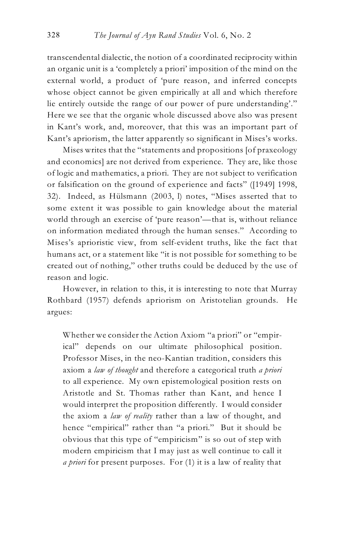transcendental dialectic, the notion of a coordinated reciprocity within an organic unit is a 'completely a priori' imposition of the mind on the external world, a product of 'pure reason, and inferred concepts whose object cannot be given empirically at all and which therefore lie entirely outside the range of our power of pure understanding'." Here we see that the organic whole discussed above also was present in Kant's work, and, moreover, that this was an important part of Kant's apriorism, the latter apparently so significant in Mises's works.

Mises writes that the "statements and propositions [of praxeology and economics] are not derived from experience. They are, like those of logic and mathematics, a priori. They are not subject to verification or falsification on the ground of experience and facts" ([1949] 1998, 32). Indeed, as Hülsmann (2003, l) notes, "Mises asserted that to some extent it was possible to gain knowledge about the material world through an exercise of 'pure reason'—that is, without reliance on information mediated through the human senses." According to Mises's aprioristic view, from self-evident truths, like the fact that humans act, or a statement like "it is not possible for something to be created out of nothing," other truths could be deduced by the use of reason and logic.

However, in relation to this, it is interesting to note that Murray Rothbard (1957) defends apriorism on Aristotelian grounds. He argues:

Whether we consider the Action Axiom "a priori" or "empirical" depends on our ultimate philosophical position. Professor Mises, in the neo-Kantian tradition, considers this axiom a *law of thought* and therefore a categorical truth *a priori* to all experience. My own epistemological position rests on Aristotle and St. Thomas rather than Kant, and hence I would interpret the proposition differently. I would consider the axiom a *law of reality* rather than a law of thought, and hence "empirical" rather than "a priori." But it should be obvious that this type of "empiricism" is so out of step with modern empiricism that I may just as well continue to call it *a priori* for present purposes. For (1) it is a law of reality that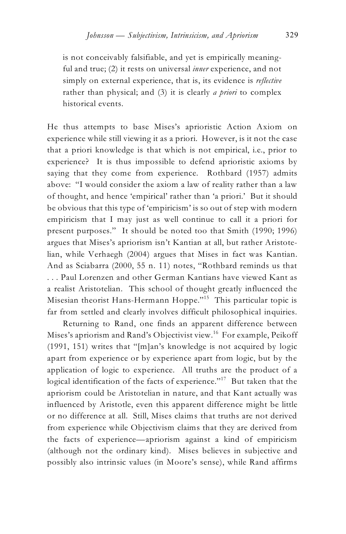is not conceivably falsifiable, and yet is empirically meaningful and true; (2) it rests on universal *inner* experience, and not simply on external experience, that is, its evidence is *reflective* rather than physical; and (3) it is clearly *a priori* to complex historical events.

He thus attempts to base Mises's aprioristic Action Axiom on experience while still viewing it as a priori. However, is it not the case that a priori knowledge is that which is not empirical, i.e., prior to experience? It is thus impossible to defend aprioristic axioms by saying that they come from experience. Rothbard (1957) admits above: "I would consider the axiom a law of reality rather than a law of thought, and hence 'empirical' rather than 'a priori.' But it should be obvious that this type of 'empiricism' is so out of step with modern empiricism that I may just as well continue to call it a priori for present purposes." It should be noted too that Smith (1990; 1996) argues that Mises's apriorism isn't Kantian at all, but rather Aristotelian, while Verhaegh (2004) argues that Mises in fact was Kantian. And as Sciabarra (2000, 55 n. 11) notes, "Rothbard reminds us that . . . Paul Lorenzen and other German Kantians have viewed Kant as a realist Aristotelian. This school of thought greatly influenced the Misesian theorist Hans-Hermann Hoppe."<sup>15</sup> This particular topic is far from settled and clearly involves difficult philosophical inquiries.

Returning to Rand, one finds an apparent difference between Mises's apriorism and Rand's Objectivist view.<sup>16</sup> For example, Peikoff (1991, 151) writes that "[m]an's knowledge is not acquired by logic apart from experience or by experience apart from logic, but by the application of logic to experience. All truths are the product of a logical identification of the facts of experience."<sup>17</sup> But taken that the apriorism could be Aristotelian in nature, and that Kant actually was influenced by Aristotle, even this apparent difference might be little or no difference at all. Still, Mises claims that truths are not derived from experience while Objectivism claims that they are derived from the facts of experience—apriorism against a kind of empiricism (although not the ordinary kind). Mises believes in subjective and possibly also intrinsic values (in Moore's sense), while Rand affirms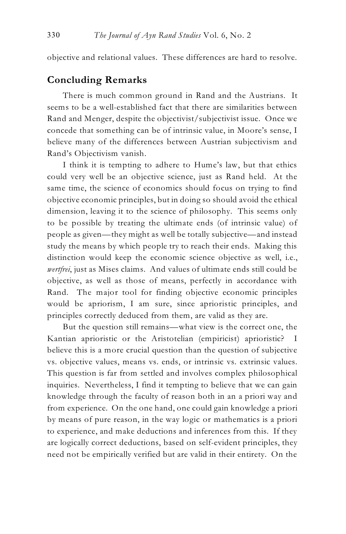objective and relational values. These differences are hard to resolve.

## **Concluding Remarks**

There is much common ground in Rand and the Austrians. It seems to be a well-established fact that there are similarities between Rand and Menger, despite the objectivist/subjectivist issue. Once we concede that something can be of intrinsic value, in Moore's sense, I believe many of the differences between Austrian subjectivism and Rand's Objectivism vanish.

I think it is tempting to adhere to Hume's law, but that ethics could very well be an objective science, just as Rand held. At the same time, the science of economics should focus on trying to find objective economic principles, but in doing so should avoid the ethical dimension, leaving it to the science of philosophy. This seems only to be possible by treating the ultimate ends (of intrinsic value) of people as given—they might as well be totally subjective—and instead study the means by which people try to reach their ends. Making this distinction would keep the economic science objective as well, i.e., *wertfrei*, just as Mises claims. And values of ultimate ends still could be objective, as well as those of means, perfectly in accordance with Rand. The major tool for finding objective economic principles would be apriorism, I am sure, since aprioristic principles, and principles correctly deduced from them, are valid as they are.

But the question still remains—what view is the correct one, the Kantian aprioristic or the Aristotelian (empiricist) aprioristic? I believe this is a more crucial question than the question of subjective vs. objective values, means vs. ends, or intrinsic vs. extrinsic values. This question is far from settled and involves complex philosophical inquiries. Nevertheless, I find it tempting to believe that we can gain knowledge through the faculty of reason both in an a priori way and from experience. On the one hand, one could gain knowledge a priori by means of pure reason, in the way logic or mathematics is a priori to experience, and make deductions and inferences from this. If they are logically correct deductions, based on self-evident principles, they need not be empirically verified but are valid in their entirety. On the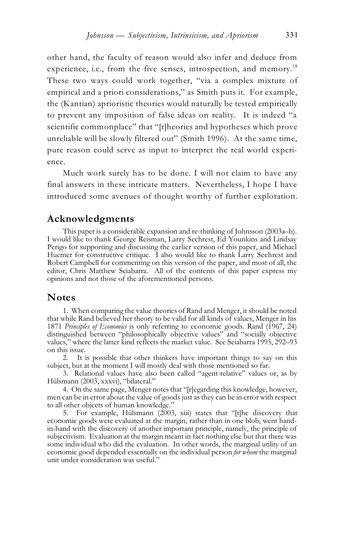other hand, the faculty of reason would also infer and deduce from experience, i.e., from the five senses, introspection, and memory.<sup>18</sup> These two ways could work together, "via a complex mixture of empirical and a priori considerations," as Smith puts it. For example, the (Kantian) aprioristic theories would naturally be tested empirically to prevent any imposition of false ideas on reality. It is indeed "a scientific commonplace" that "[t]heories and hypotheses which prove unreliable will be slowly filtered out" (Smith 1996). At the same time, pure reason could serve as input to interpret the real world experience.

Much work surely has to be done. I will not claim to have any final answers in these intricate matters. Nevertheless, I hope I have introduced some avenues of thought worthy of further exploration.

#### **Acknowledgments**

This paper is a considerable expansion and re-thinking of Johnsson (2003a–b). I would like to thank George Reisman, Larry Sechrest, Ed Younkins and Lindsay Perigo for supporting and discussing the earlier version of this paper, and Michael Huemer for constructive critique. I also would like to thank Larry Sechrest and Robert Campbell for commenting on this version of the paper, and most of all, the editor, Chris Matthew Sciabarra. All of the contents of this paper express my opinions and not those of the aforementioned persons.

#### **Notes**

1. When comparing the value theories of Rand and Menger, it should be noted that while Rand believed her theory to be valid for all kinds of values, Menger in his 1871 *Principles of Economics* is only referring to economic goods. Rand (1967, 24) distinguished between "philosophically objective values" and "socially objective values," where the latter kind reflects the market value. See Sciabarra 1995, 292–93 on this issue.

2. It is possible that other thinkers have important things to say on this subject, but at the moment I will mostly deal with those mentioned so far.

3. Relational values have also been called "agent-relative" values or, as by Hülsmann (2003, xxxvi), "bilateral."

4. On the same page, Menger notes that "[r]egarding this knowledge, however, men can be in error about the value of goods just as they can be in error with respect to all other objects of human knowledge."

5. For example, Hülsmann  $(2003, xiii)$  states that "[t]he discovery that economic goods were evaluated at the margin, rather than in one blob, went handin-hand with the discovery of another important principle, namely, the principle of subjectivism. Evaluation at the margin meant in fact nothing else but that there was some individual who did the evaluation. In other words, the marginal utility of an economic good depended essentially on the individual person *for whom* the marginal unit under consideration was useful."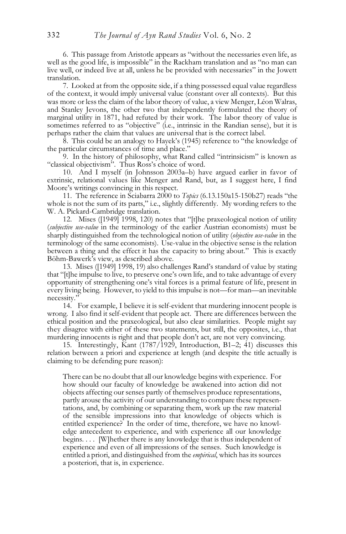6. This passage from Aristotle appears as "without the necessaries even life, as well as the good life, is impossible" in the Rackham translation and as "no man can live well, or indeed live at all, unless he be provided with necessaries" in the Jowett translation.

7. Looked at from the opposite side, if a thing possessed equal value regardless of the context, it would imply universal value (constant over all contexts). But this was more or less the claim of the labor theory of value, a view Menger, Léon Walras, and Stanley Jevons, the other two that independently formulated the theory of marginal utility in 1871, had refuted by their work. The labor theory of value is sometimes referred to as "objective" (i.e., intrinsic in the Randian sense), but it is perhaps rather the claim that values are universal that is the correct label.

8. This could be an analogy to Hayek's (1945) reference to "the knowledge of the particular circumstances of time and place."

9. In the history of philosophy, what Rand called "intrinsicism" is known as "classical objectivism". Thus Ross's choice of word.

10. And I myself (in Johnsson 2003a–b) have argued earlier in favor of extrinsic, relational values like Menger and Rand, but, as I suggest here, I find Moore's writings convincing in this respect.

11. The reference in Sciabarra 2000 to *Topics* (6.13.150a15-150b27) reads "the whole is not the sum of its parts," i.e., slightly differently. My wording refers to the W. A. Pickard-Cambridge translation.

12. Mises ([1949] 1998, 120) notes that "[t]he praxeological notion of utility (*subjective use-value* in the terminology of the earlier Austrian economists) must be sharply distinguished from the technological notion of utility (*objective use-value* in the terminology of the same economists). Use-value in the objective sense isthe relation between a thing and the effect it has the capacity to bring about." This is exactly Böhm-Bawerk's view, as described above.

13. Mises ([1949] 1998, 19) also challenges Rand's standard of value by stating that "[t]he impulse to live, to preserve one's own life, and to take advantage of every opportunity of strengthening one's vital forces is a primal feature of life, present in every living being. However, to yield to this impulse is not—for man—an inevitable necessity."

14. For example, I believe it is self-evident that murdering innocent people is wrong. I also find it self-evident that people act. There are differences between the ethical position and the praxeological, but also clear similarities. People might say they disagree with either of these two statements, but still, the opposites, i.e., that murdering innocents is right and that people don't act, are not very convincing.

15. Interestingly, Kant (1787/1929, Introduction, B1–2; 41) discusses this relation between a priori and experience at length (and despite the title actually is claiming to be defending pure reason):

There can be no doubt that all our knowledge begins with experience. For how should our faculty of knowledge be awakened into action did not objects affecting our senses partly of themselves produce representations, partly arouse the activity of our understanding to compare these representations, and, by combining or separating them, work up the raw material of the sensible impressions into that knowledge of objects which is entitled experience? In the order of time, therefore, we have no knowledge antecedent to experience, and with experience all our knowledge begins. . . . [W]hether there is any knowledge that is thus independent of experience and even of all impressions of the senses. Such knowledge is entitled a priori, and distinguished from the *empirical*, which has its sources a posteriori, that is, in experience.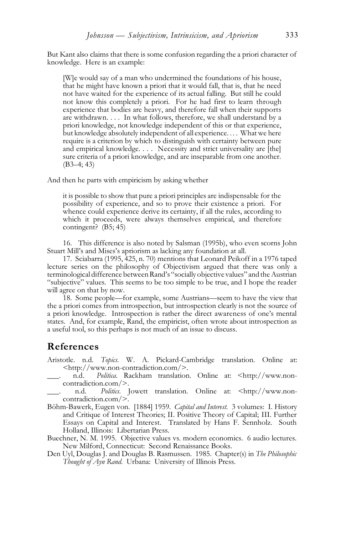But Kant also claims that there is some confusion regarding the a priori character of knowledge. Here is an example:

[W]e would say of a man who undermined the foundations of his house, that he might have known a priori that it would fall, that is, that he need not have waited for the experience of its actual falling. But still he could not know this completely a priori. For he had first to learn through experience that bodies are heavy, and therefore fall when their supports are withdrawn. . . . In what follows, therefore, we shall understand by a priori knowledge, not knowledge independent of this or that experience, but knowledge absolutely independent of all experience.... What we here require is a criterion by which to distinguish with certainty between pure and empirical knowledge. . . . Necessity and strict universality are [the] sure criteria of a priori knowledge, and are inseparable from one another. (B3–4; 43)

And then he parts with empiricism by asking whether

it is possible to show that pure a priori principles are indispensable for the possibility of experience, and so to prove their existence a priori. For whence could experience derive its certainty, if all the rules, according to which it proceeds, were always themselves empirical, and therefore contingent? (B5; 45)

16. This difference is also noted by Salsman (1995b), who even scorns John Stuart Mill's and Mises's apriorism as lacking any foundation at all.

17. Sciabarra (1995, 425, n. 70) mentions that Leonard Peikoff in a 1976 taped lecture series on the philosophy of Objectivism argued that there was only a terminological difference between Rand's "socially objective values" and the Austrian "subjective" values. This seems to be too simple to be true, and I hope the reader will agree on that by now.

18. Some people—for example, some Austrians—seem to have the view that the a priori comes from introspection, but introspection clearly is not the source of a priori knowledge. Introspection is rather the direct awareness of one's mental states. And, for example, Rand, the empiricist, often wrote about introspection as a useful tool, so this perhaps is not much of an issue to discuss.

#### **References**

- Aristotle. n.d. *Topics*. W. A. Pickard-Cambridge translation. Online at: <http://www.non-contradiction.com/>.<br>n.d. *Politica*. Rackham translation
- \_\_\_. n.d. *Politica*. Rackham translation. Online at: <http://www.noncontradiction.com/>.
- \_\_\_. n.d. *Politics*. Jowett translation. Online at: <http://www.noncontradiction.com/>.
- Böhm-Bawerk, Eugen von. [1884] 1959. *Capital and Interest*. 3 volumes: I. History and Critique of Interest Theories; II. Positive Theory of Capital; III. Further Essays on Capital and Interest. Translated by Hans F. Sennholz. South Holland, Illinois: Libertarian Press.
- Buechner, N. M. 1995. Objective values vs. modern economics. 6 audio lectures. New Milford, Connecticut: Second Renaissance Books.
- Den Uyl, Douglas J. and Douglas B. Rasmussen. 1985. Chapter(s) in *The Philosophic Thought of Ayn Rand*. Urbana: University of Illinois Press.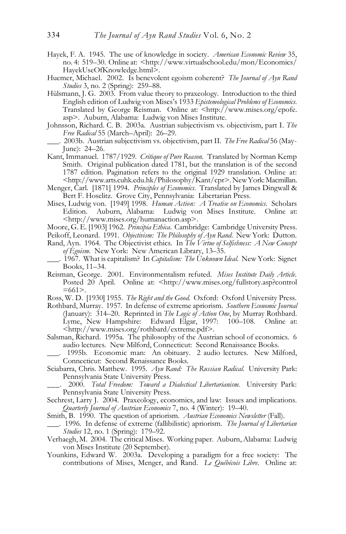- Hayek, F. A. 1945. The use of knowledge in society. *American Economic Review* 35, no. 4: 519–30. Online at: <http://www.virtualschool.edu/mon/Economics/ HayekUseOfKnowledge.html>.
- Huemer, Michael. 2002. Is benevolent egoism coherent? *The Journal of Ayn Rand Studies* 3, no. 2 (Spring): 259–88.
- Hülsmann, J. G. 2003. From value theory to praxeology. Introduction to the third English edition of Ludwig von Mises's 1933 *Epistemological Problems of Economics*. Translated by George Reisman. Online at: <http://www.mises.org/epofe. asp>. Auburn, Alabama: Ludwig von Mises Institute.
- Johnsson, Richard. C. B. 2003a. Austrian subjectivism vs. objectivism, part I. *The Free Radical* 55 (March–April): 26–29.

- Kant, Immanuel. 1787/1929. *Critique of Pure Reason*. Translated by Norman Kemp Smith. Original publication dated 1781, but the translation is of the second 1787 edition. Pagination refers to the original 1929 translation. Online at: <http://www.arts.cuhk.edu.hk/Philosophy/Kant/cpr>. New York: Macmillan.
- Menger, Carl. [1871] 1994. *Principles of Economics*. Translated by James Dingwall & Bert F. Hoselitz. Grove City, Pennsylvania: Libertarian Press.
- Mises, Ludwig von. [1949] 1998. *Human Action: A Treatise on Economics*. Scholars Edition. Auburn, Alabama: Ludwig von Mises Institute. Online at: <http://www.mises.org/humanaction.asp>.
- Moore, G. E. [1903] 1962. *Principia Ethica*. Cambridge: Cambridge University Press.
- Peikoff, Leonard. 1991. *Objectivism: The Philosophy of Ayn Rand*. New York: Dutton.
- Rand, Ayn. 1964. The Objectivist ethics. In *The Virtue of Selfishness: A New Concept of Egoism*. New York: New American Library, 13–35.
- \_\_\_. 1967. What is capitalism? In *Capitalism: The Unknown Ideal*. New York: Signet Books, 11–34.
- Reisman, George. 2001. Environmentalism refuted. *Mises Institute Daily Article*. Posted 20 April. Online at: <http://www.mises.org/fullstory.asp?control  $=661$ .
- Ross, W. D. [1930] 1955. *The Right and the Good*. Oxford: Oxford University Press.
- .Rothbard, Murray. 1957. In defense of extreme apriorism. *Southern Economic Journal* (January): 314–20. Reprinted in *The Logic of Action One*, by Murray Rothbard. Lyme, New Hampshire: Edward Elgar, 1997: 100–108. Online at: <http://www.mises.org/rothbard/extreme.pdf>.
- Salsman, Richard. 1995a. The philosophy of the Austrian school of economics. 6 audio lectures. New Milford, Connecticut: Second Renaissance Books.
- 1995b. Economic man: An obituary. 2 audio lectures. New Milford, Connecticut: Second Renaissance Books.
- Sciabarra, Chris. Matthew. 1995. *Ayn Rand: The Russian Radical*. University Park: Pennsylvania State University Press.
	- \_\_\_. 2000. *Total Freedom: Toward a Dialectical Libertarianism*. University Park: Pennsylvania State University Press.
- Sechrest, Larry J. 2004. Praxeology, economics, and law: Issues and implications. *Quarterly Journal of Austrian Economics* 7, no. 4 (Winter): 19–40.
- Smith, B. 1990. The question of apriorism. *Austrian Economics Newsletter* (Fall).
- \_\_\_. 1996. In defense of extreme (fallibilistic) apriorism. *The Journal of Libertarian Studies* 12, no. 1 (Spring): 179–92.
- Verhaegh, M. 2004. The critical Mises. Working paper. Auburn, Alabama: Ludwig von Mises Institute (20 September).
- Younkins, Edward W. 2003a. Developing a paradigm for a free society: The contributions of Mises, Menger, and Rand. *Le Québécois Libre*. Online at:

\_\_\_. 2003b. Austrian subjectivism vs. objectivism, part II. *The Free Radical* 56 (May-June): 24–26.